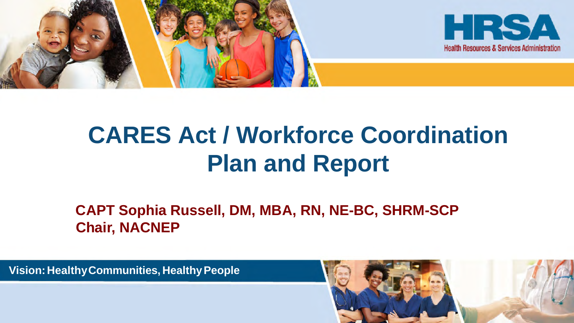

# **CARES Act / Workforce Coordination Plan and Report**

**CAPT Sophia Russell, DM, MBA, RN, NE-BC, SHRM-SCP Chair, NACNEP**

**Vision:HealthyCommunities, HealthyPeople**

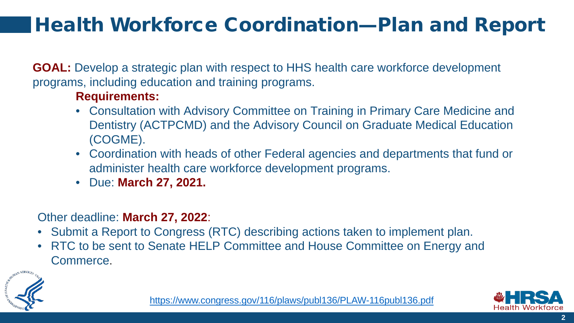## Health Workforce Coordination—Plan and Report

**GOAL:** Develop a strategic plan with respect to HHS health care workforce development programs, including education and training programs.

#### **Requirements:**

- **Consultation with Advisory Committee on Training in Primary Care Medicine and** Dentistry (ACTPCMD) and the Advisory Council on Graduate Medical Education (COGME).
- Coordination with heads of other Federal agencies and departments that fund or administer health care workforce development programs.
- Due: **March 27, 2021.**

#### Other deadline: **March 27, 2022**:

- Submit a Report to Congress (RTC) describing actions taken to implement plan.
- RTC to be sent to Senate HELP Committee and House Committee on Energy and Commerce.



<https://www.congress.gov/116/plaws/publ136/PLAW-116publ136.pdf>

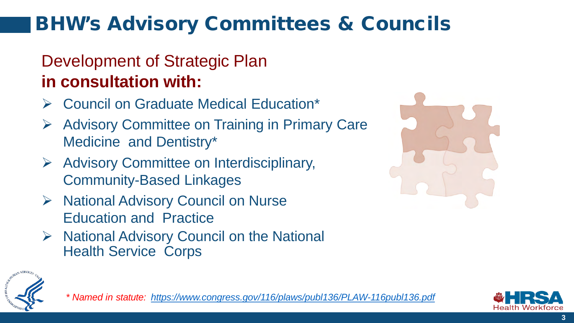## BHW's Advisory Committees & Councils

## Development of Strategic Plan **in consultation with:**

- Council on Graduate Medical Education\*
- **▶ Advisory Committee on Training in Primary Care** Medicine and Dentistry\*
- $\triangleright$  Advisory Committee on Interdisciplinary, Community-Based Linkages
- $\triangleright$  National Advisory Council on Nurse Education and Practice
- $\triangleright$  National Advisory Council on the National Health Service Corps





*\* Named in statute: <https://www.congress.gov/116/plaws/publ136/PLAW-116publ136.pdf>*

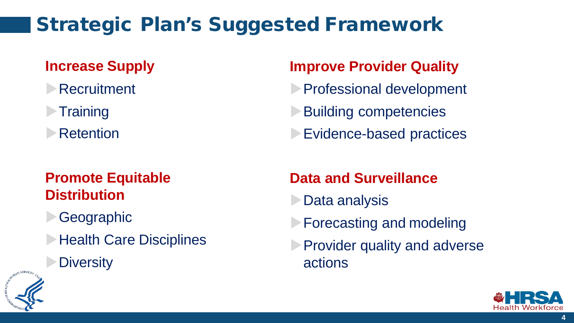## Strategic Plan's Suggested Framework

### **Increase Supply**

- **Recruitment**
- **Training**
- **Retention**

#### **Promote Equitable Distribution**

- **Geographic**
- **Health Care Disciplines** 
	- **Diversity**

#### **Improve Provider Quality**

- **Professional development**
- **Building competencies**
- **Evidence-based practices**

#### **Data and Surveillance**

- **Data analysis**
- **Forecasting and modeling**
- **Provider quality and adverse** actions



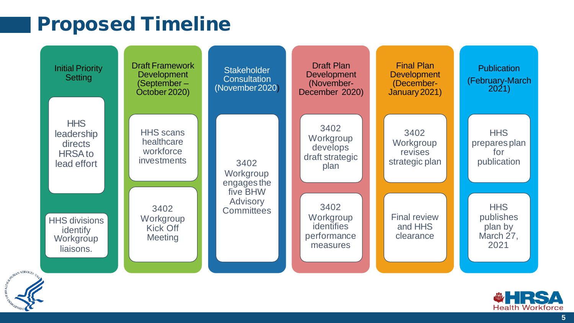## Proposed Timeline

| <b>Initial Priority</b><br>Setting                                   | <b>Draft Framework</b><br><b>Development</b><br>(September –<br>October 2020) | <b>Stakeholder</b><br><b>Consultation</b><br>(November 2020) | <b>Draft Plan</b><br><b>Development</b><br>(November-<br>December 2020) | <b>Final Plan</b><br><b>Development</b><br>(December-<br>January 2021) | <b>Publication</b><br>(February-March<br>2021)          |
|----------------------------------------------------------------------|-------------------------------------------------------------------------------|--------------------------------------------------------------|-------------------------------------------------------------------------|------------------------------------------------------------------------|---------------------------------------------------------|
| <b>HHS</b><br>leadership<br>directs<br><b>HRSA</b> to<br>lead effort | <b>HHS</b> scans<br>healthcare<br>workforce<br><i>investments</i>             | 3402<br>Workgroup<br>engages the                             | 3402<br>Workgroup<br>develops<br>draft strategic<br>plan                | 3402<br>Workgroup<br>revises<br>strategic plan                         | <b>HHS</b><br>prepares plan<br>for<br>publication       |
| <b>HHS divisions</b><br>identify<br>Workgroup<br>liaisons.           | 3402<br>Workgroup<br><b>Kick Off</b><br><b>Meeting</b>                        | five BHW<br><b>Advisory</b><br><b>Committees</b>             | 3402<br>Workgroup<br><i>identifies</i><br>performance<br>measures       | <b>Final review</b><br>and HHS<br>clearance                            | <b>HHS</b><br>publishes<br>plan by<br>March 27,<br>2021 |



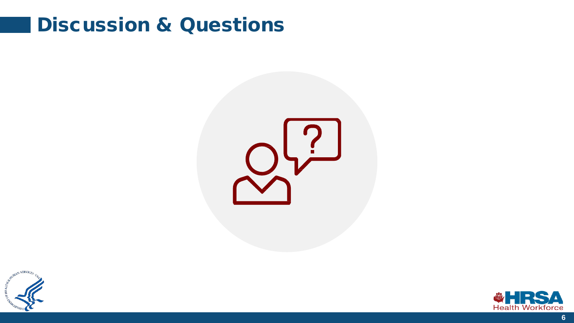## Discussion & Questions